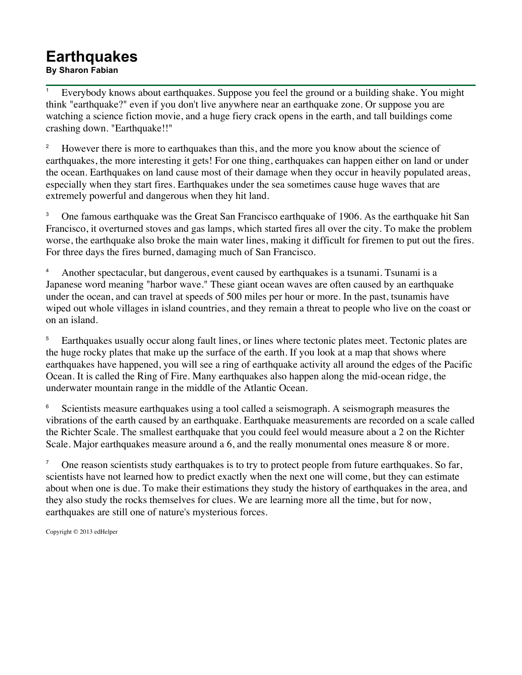## **Earthquakes**

**By Sharon Fabian**

<sup>1</sup> Everybody knows about earthquakes. Suppose you feel the ground or a building shake. You might think "earthquake?" even if you don't live anywhere near an earthquake zone. Or suppose you are watching a science fiction movie, and a huge fiery crack opens in the earth, and tall buildings come crashing down. "Earthquake!!"

<sup>2</sup> However there is more to earthquakes than this, and the more you know about the science of earthquakes, the more interesting it gets! For one thing, earthquakes can happen either on land or under the ocean. Earthquakes on land cause most of their damage when they occur in heavily populated areas, especially when they start fires. Earthquakes under the sea sometimes cause huge waves that are extremely powerful and dangerous when they hit land.

<sup>3</sup> One famous earthquake was the Great San Francisco earthquake of 1906. As the earthquake hit San Francisco, it overturned stoves and gas lamps, which started fires all over the city. To make the problem worse, the earthquake also broke the main water lines, making it difficult for firemen to put out the fires. For three days the fires burned, damaging much of San Francisco.

<sup>4</sup> Another spectacular, but dangerous, event caused by earthquakes is a tsunami. Tsunami is a Japanese word meaning "harbor wave." These giant ocean waves are often caused by an earthquake under the ocean, and can travel at speeds of 500 miles per hour or more. In the past, tsunamis have wiped out whole villages in island countries, and they remain a threat to people who live on the coast or on an island.

<sup>5</sup> Earthquakes usually occur along fault lines, or lines where tectonic plates meet. Tectonic plates are the huge rocky plates that make up the surface of the earth. If you look at a map that shows where earthquakes have happened, you will see a ring of earthquake activity all around the edges of the Pacific Ocean. It is called the Ring of Fire. Many earthquakes also happen along the mid-ocean ridge, the underwater mountain range in the middle of the Atlantic Ocean.

<sup>6</sup> Scientists measure earthquakes using a tool called a seismograph. A seismograph measures the vibrations of the earth caused by an earthquake. Earthquake measurements are recorded on a scale called the Richter Scale. The smallest earthquake that you could feel would measure about a 2 on the Richter Scale. Major earthquakes measure around a 6, and the really monumental ones measure 8 or more.

<sup>7</sup> One reason scientists study earthquakes is to try to protect people from future earthquakes. So far, scientists have not learned how to predict exactly when the next one will come, but they can estimate about when one is due. To make their estimations they study the history of earthquakes in the area, and they also study the rocks themselves for clues. We are learning more all the time, but for now, earthquakes are still one of nature's mysterious forces.

Copyright © 2013 edHelper